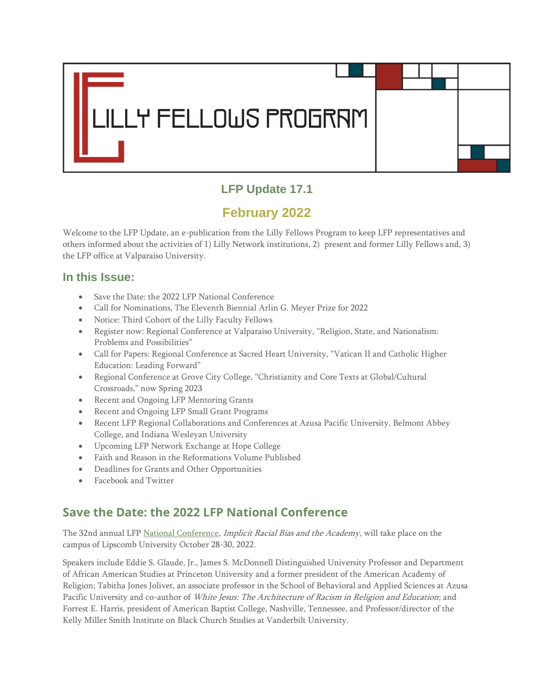

## **LFP Update 17.1**

# **February 2022**

Welcome to the LFP Update, an e-publication from the Lilly Fellows Program to keep LFP representatives and others informed about the activities of 1) Lilly Network institutions, 2) present and former Lilly Fellows and, 3) the LFP office at Valparaiso University.

### **In this Issue:**

- Save the Date: the 2022 LFP National Conference
- Call for Nominations, The Eleventh Biennial Arlin G. Meyer Prize for 2022
- Notice: Third Cohort of the Lilly Faculty Fellows
- Register now: Regional Conference at Valparaiso University, "Religion, State, and Nationalism: Problems and Possibilities"
- Call for Papers: Regional Conference at Sacred Heart University, "Vatican II and Catholic Higher Education: Leading Forward"
- Regional Conference at Grove City College, "Christianity and Core Texts at Global/Cultural Crossroads," now Spring 2023
- Recent and Ongoing LFP Mentoring Grants
- Recent and Ongoing LFP Small Grant Programs
- Recent LFP Regional Collaborations and Conferences at Azusa Pacific University, Belmont Abbey College, and Indiana Wesleyan University
- Upcoming LFP Network Exchange at Hope College
- Faith and Reason in the Reformations Volume Published
- Deadlines for Grants and Other Opportunities
- Facebook and Twitter

## **Save the Date: the 2022 LFP National Conference**

The 32nd annual LFP [National Conference,](https://www.lillyfellows.org/network/national-conference/) Implicit Racial Bias and the Academy, will take place on the campus of Lipscomb University October 28-30, 2022.

Speakers include Eddie S. Glaude, Jr., James S. McDonnell Distinguished University Professor and Department of African American Studies at Princeton University and a former president of the American Academy of Religion; Tabitha Jones Jolivet, an associate professor in the School of Behavioral and Applied Sciences at Azusa Pacific University and co-author of White Jesus: The Architecture of Racism in Religion and Education; and Forrest E. Harris, president of American Baptist College, Nashville, Tennessee, and Professor/director of the Kelly Miller Smith Institute on Black Church Studies at Vanderbilt University.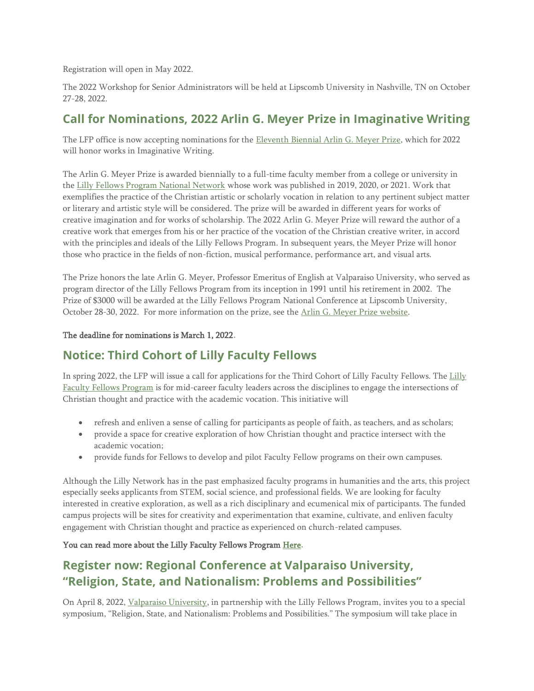Registration will open in May 2022.

The 2022 Workshop for Senior Administrators will be held at Lipscomb University in Nashville, TN on October 27-28, 2022.

### **Call for Nominations, 2022 Arlin G. Meyer Prize in Imaginative Writing**

The LFP office is now accepting nominations for the [Eleventh Biennial Arlin G. Meyer Prize,](http://www.lillyfellows.org/GrantsPrizes/2012ArlinGMeyerPrize.aspx) which for 2022 will honor works in Imaginative Writing.

The Arlin G. Meyer Prize is awarded biennially to a full-time faculty member from a college or university in the [Lilly Fellows Program National Network](http://www.lillyfellows.org/NationalNetwork/DirectoryofMemberInstitutions.aspx) whose work was published in 2019, 2020, or 2021. Work that exemplifies the practice of the Christian artistic or scholarly vocation in relation to any pertinent subject matter or literary and artistic style will be considered. The prize will be awarded in different years for works of creative imagination and for works of scholarship. The 2022 Arlin G. Meyer Prize will reward the author of a creative work that emerges from his or her practice of the vocation of the Christian creative writer, in accord with the principles and ideals of the Lilly Fellows Program. In subsequent years, the Meyer Prize will honor those who practice in the fields of non-fiction, musical performance, performance art, and visual arts.

The Prize honors the late Arlin G. Meyer, Professor Emeritus of English at Valparaiso University, who served as program director of the Lilly Fellows Program from its inception in 1991 until his retirement in 2002. The Prize of \$3000 will be awarded at the Lilly Fellows Program National Conference at Lipscomb University, October 28-30, 2022. For more information on the prize, see the [Arlin G. Meyer Prize website.](http://www.lillyfellows.org/GrantsPrizes/2012ArlinGMeyerPrize.aspx)

#### The deadline for nominations is March 1, 2022.

### **Notice: Third Cohort of Lilly Faculty Fellows**

In spring 2022, the LFP will issue a call for applications for the Third Cohort of Lilly Faculty Fellows. The [Lilly](https://www.lillyfellows.org/faculty-fellows-program/lilly-faculty-fellows-program/)  [Faculty Fellows Program](https://www.lillyfellows.org/faculty-fellows-program/lilly-faculty-fellows-program/) is for mid-career faculty leaders across the disciplines to engage the intersections of Christian thought and practice with the academic vocation. This initiative will

- refresh and enliven a sense of calling for participants as people of faith, as teachers, and as scholars;
- provide a space for creative exploration of how Christian thought and practice intersect with the academic vocation;
- provide funds for Fellows to develop and pilot Faculty Fellow programs on their own campuses.

Although the Lilly Network has in the past emphasized faculty programs in humanities and the arts, this project especially seeks applicants from STEM, social science, and professional fields. We are looking for faculty interested in creative exploration, as well as a rich disciplinary and ecumenical mix of participants. The funded campus projects will be sites for creativity and experimentation that examine, cultivate, and enliven faculty engagement with Christian thought and practice as experienced on church-related campuses.

#### You can read more about the Lilly Faculty Fellows Program [Here.](https://www.lillyfellows.org/faculty-fellows-program/lilly-faculty-fellows-program/)

### **Register now: Regional Conference at Valparaiso University, "Religion, State, and Nationalism: Problems and Possibilities"**

On April 8, 2022, [Valparaiso University,](https://www.valpo.edu/) in partnership with the Lilly Fellows Program, invites you to a special symposium, "Religion, State, and Nationalism: Problems and Possibilities." The symposium will take place in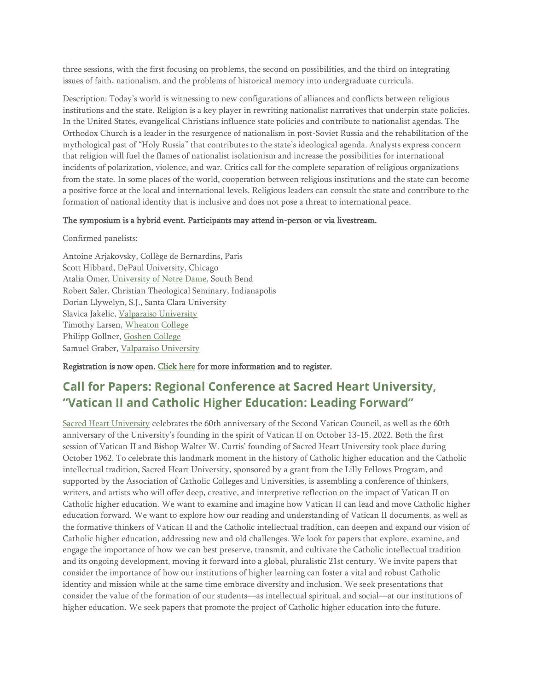three sessions, with the first focusing on problems, the second on possibilities, and the third on integrating issues of faith, nationalism, and the problems of historical memory into undergraduate curricula.

Description: Today's world is witnessing to new configurations of alliances and conflicts between religious institutions and the state. Religion is a key player in rewriting nationalist narratives that underpin state policies. In the United States, evangelical Christians influence state policies and contribute to nationalist agendas. The Orthodox Church is a leader in the resurgence of nationalism in post-Soviet Russia and the rehabilitation of the mythological past of "Holy Russia" that contributes to the state's ideological agenda. Analysts express concern that religion will fuel the flames of nationalist isolationism and increase the possibilities for international incidents of polarization, violence, and war. Critics call for the complete separation of religious organizations from the state. In some places of the world, cooperation between religious institutions and the state can become a positive force at the local and international levels. Religious leaders can consult the state and contribute to the formation of national identity that is inclusive and does not pose a threat to international peace.

#### The symposium is a hybrid event. Participants may attend in-person or via livestream.

Confirmed panelists:

Antoine Arjakovsky, Collège de Bernardins, Paris Scott Hibbard, DePaul University, Chicago Atalia Omer, [University of Notre Dame,](https://www.nd.edu/) South Bend Robert Saler, Christian Theological Seminary, Indianapolis Dorian Llywelyn, S.J., Santa Clara University Slavica Jakelic, [Valparaiso University](https://www.valpo.edu/) Timothy Larsen, [Wheaton College](https://www.wheaton.edu/) Philipp Gollner, [Goshen College](https://www.goshen.edu/) Samuel Graber, [Valparaiso University](https://www.valpo.edu/)

Registration is now open. [Click here](https://www.lillyfellows.org/events/regional-conferences/religion-state-and-nationalism-problems-and-possibilities/) for more information and to register.

## **Call for Papers: Regional Conference at Sacred Heart University, "Vatican II and Catholic Higher Education: Leading Forward"**

[Sacred Heart University](https://www.sacredheart.edu/) celebrates the 60th anniversary of the Second Vatican Council, as well as the 60th anniversary of the University's founding in the spirit of Vatican II on October 13-15, 2022. Both the first session of Vatican II and Bishop Walter W. Curtis' founding of Sacred Heart University took place during October 1962. To celebrate this landmark moment in the history of Catholic higher education and the Catholic intellectual tradition, Sacred Heart University, sponsored by a grant from the Lilly Fellows Program, and supported by the Association of Catholic Colleges and Universities, is assembling a conference of thinkers, writers, and artists who will offer deep, creative, and interpretive reflection on the impact of Vatican II on Catholic higher education. We want to examine and imagine how Vatican II can lead and move Catholic higher education forward. We want to explore how our reading and understanding of Vatican II documents, as well as the formative thinkers of Vatican II and the Catholic intellectual tradition, can deepen and expand our vision of Catholic higher education, addressing new and old challenges. We look for papers that explore, examine, and engage the importance of how we can best preserve, transmit, and cultivate the Catholic intellectual tradition and its ongoing development, moving it forward into a global, pluralistic 21st century. We invite papers that consider the importance of how our institutions of higher learning can foster a vital and robust Catholic identity and mission while at the same time embrace diversity and inclusion. We seek presentations that consider the value of the formation of our students—as intellectual spiritual, and social—at our institutions of higher education. We seek papers that promote the project of Catholic higher education into the future.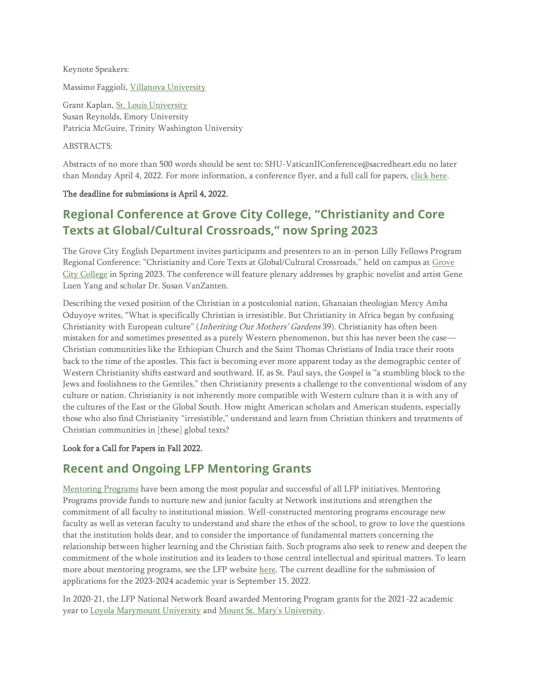Keynote Speakers:

Massimo Faggioli, [Villanova University](https://www1.villanova.edu/university.html)

Grant Kaplan, [St. Louis University](https://www.lillyfellows.org/slu.edu) Susan Reynolds, Emory University Patricia McGuire, Trinity Washington University

ABSTRACTS:

Abstracts of no more than 500 words should be sent to: SHU-VaticanIIConference@sacredheart.edu no later than Monday April 4, 2022. For more information, a conference flyer, and a full call for papers, [click here.](https://www.lillyfellows.org/events/regional-conferences/vatican-ii-and-higher-education/)

#### The deadline for submissions is April 4, 2022.

## **Regional Conference at Grove City College, "Christianity and Core Texts at Global/Cultural Crossroads," now Spring 2023**

The Grove City English Department invites participants and presenters to an in-person Lilly Fellows Program Regional Conference: "Christianity and Core Texts at Global/Cultural Crossroads," held on campus at [Grove](https://gcc.edu/)  [City College](https://gcc.edu/) in Spring 2023. The conference will feature plenary addresses by graphic novelist and artist Gene Luen Yang and scholar Dr. Susan VanZanten.

Describing the vexed position of the Christian in a postcolonial nation, Ghanaian theologian Mercy Amba Oduyoye writes, "What is specifically Christian is irresistible. But Christianity in Africa began by confusing Christianity with European culture" (Inheriting Our Mothers' Gardens 39). Christianity has often been mistaken for and sometimes presented as a purely Western phenomenon, but this has never been the case— Christian communities like the Ethiopian Church and the Saint Thomas Christians of India trace their roots back to the time of the apostles. This fact is becoming ever more apparent today as the demographic center of Western Christianity shifts eastward and southward. If, as St. Paul says, the Gospel is "a stumbling block to the Jews and foolishness to the Gentiles," then Christianity presents a challenge to the conventional wisdom of any culture or nation. Christianity is not inherently more compatible with Western culture than it is with any of the cultures of the East or the Global South. How might American scholars and American students, especially those who also find Christianity "irresistible," understand and learn from Christian thinkers and treatments of Christian communities in [these] global texts?

#### Look for a Call for Papers in Fall 2022.

### **Recent and Ongoing LFP Mentoring Grants**

[Mentoring Programs](http://www.lillyfellows.org/grants-and-prizes/mentoring/) have been among the most popular and successful of all LFP initiatives. Mentoring Programs provide funds to nurture new and junior faculty at Network institutions and strengthen the commitment of all faculty to institutional mission. Well-constructed mentoring programs encourage new faculty as well as veteran faculty to understand and share the ethos of the school, to grow to love the questions that the institution holds dear, and to consider the importance of fundamental matters concerning the relationship between higher learning and the Christian faith. Such programs also seek to renew and deepen the commitment of the whole institution and its leaders to those central intellectual and spiritual matters. To learn more about mentoring programs, see the LFP website [here.](http://www.lillyfellows.org/grants-and-prizes/mentoring/) The current deadline for the submission of applications for the 2023-2024 academic year is September 15, 2022.

In 2020-21, the LFP National Network Board awarded Mentoring Program grants for the 2021-22 academic year to [Loyola Marymount University](https://www.lmu.edu/) and [Mount St. Mary's University](https://www.msmu.edu/).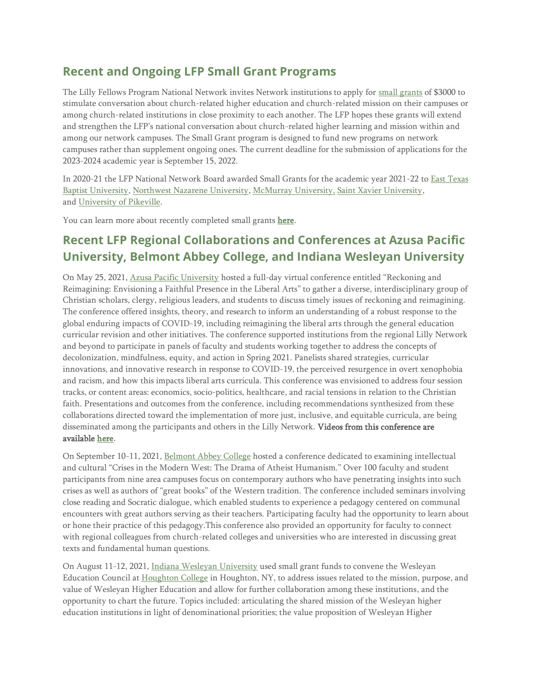### **Recent and Ongoing LFP Small Grant Programs**

The Lilly Fellows Program National Network invites Network institutions to apply for [small grants](http://www.lillyfellows.org/grants-and-prizes/small-grants/) of \$3000 to stimulate conversation about church-related higher education and church-related mission on their campuses or among church-related institutions in close proximity to each another. The LFP hopes these grants will extend and strengthen the LFP's national conversation about church-related higher learning and mission within and among our network campuses. The Small Grant program is designed to fund new programs on network campuses rather than supplement ongoing ones. The current deadline for the submission of applications for the 2023-2024 academic year is September 15, 2022.

In 2020-21 the LFP National Network Board awarded Small Grants for the academic year 2021-22 to [East Texas](https://www.lillyfellows.org/etbu.edu)  [Baptist University,](https://www.lillyfellows.org/etbu.edu) [Northwest Nazarene University,](https://www.lillyfellows.org/nnu.edu) [McMurray University,](https://www.lillyfellows.org/mcmurray.edu) [Saint Xavier University,](https://www.lillyfellows.org/sxu.edu)  and [University of Pikeville.](https://www.lillyfellows.org/upike.edu)

You can learn more about recently completed small grants [here.](https://www.lillyfellows.org/grants-and-prizes/small-grants/)

## **Recent LFP Regional Collaborations and Conferences at Azusa Pacific University, Belmont Abbey College, and Indiana Wesleyan University**

On May 25, 2021, [Azusa Pacific University](https://www.lillyfellows.org/apu.edu) hosted a full-day virtual conference entitled "Reckoning and Reimagining: Envisioning a Faithful Presence in the Liberal Arts" to gather a diverse, interdisciplinary group of Christian scholars, clergy, religious leaders, and students to discuss timely issues of reckoning and reimagining. The conference offered insights, theory, and research to inform an understanding of a robust response to the global enduring impacts of COVID-19, including reimagining the liberal arts through the general education curricular revision and other initiatives. The conference supported institutions from the regional Lilly Network and beyond to participate in panels of faculty and students working together to address the concepts of decolonization, mindfulness, equity, and action in Spring 2021. Panelists shared strategies, curricular innovations, and innovative research in response to COVID-19, the perceived resurgence in overt xenophobia and racism, and how this impacts liberal arts curricula. This conference was envisioned to address four session tracks, or content areas: economics, socio-politics, healthcare, and racial tensions in relation to the Christian faith. Presentations and outcomes from the conference, including recommendations synthesized from these collaborations directed toward the implementation of more just, inclusive, and equitable curricula, are being disseminated among the participants and others in the Lilly Network. Videos from this conference are available [here.](https://www.youtube.com/channel/UCQnWKWG1atLktP4XMGdduRw/videos)

On September 10-11, 2021, [Belmont Abbey College](https://belmontabbeycollege.edu/) hosted a conference dedicated to examining intellectual and cultural "Crises in the Modern West: The Drama of Atheist Humanism." Over 100 faculty and student participants from nine area campuses focus on contemporary authors who have penetrating insights into such crises as well as authors of "great books" of the Western tradition. The conference included seminars involving close reading and Socratic dialogue, which enabled students to experience a pedagogy centered on communal encounters with great authors serving as their teachers. Participating faculty had the opportunity to learn about or hone their practice of this pedagogy.This conference also provided an opportunity for faculty to connect with regional colleagues from church-related colleges and universities who are interested in discussing great texts and fundamental human questions.

On August 11-12, 2021, [Indiana Wesleyan University](https://www.lillyfellows.org/iwu.edu) used small grant funds to convene the Wesleyan Education Council at [Houghton College](https://www.lillyfellows.org/houghton.edu) in Houghton, NY, to address issues related to the mission, purpose, and value of Wesleyan Higher Education and allow for further collaboration among these institutions, and the opportunity to chart the future. Topics included: articulating the shared mission of the Wesleyan higher education institutions in light of denominational priorities; the value proposition of Wesleyan Higher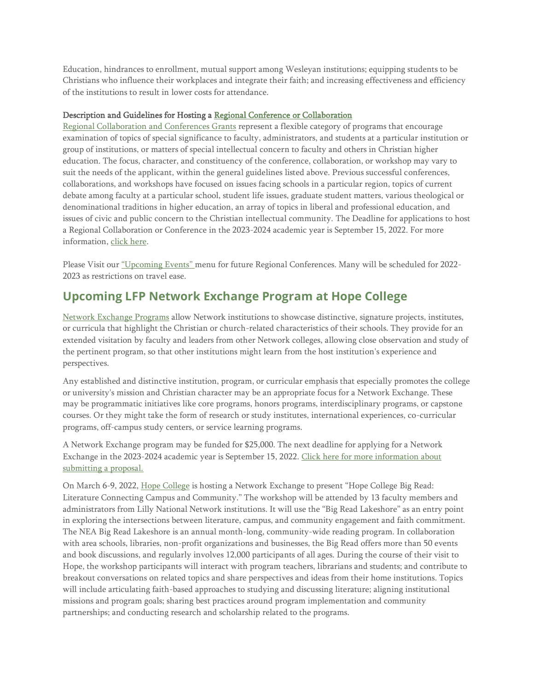Education, hindrances to enrollment, mutual support among Wesleyan institutions; equipping students to be Christians who influence their workplaces and integrate their faith; and increasing effectiveness and efficiency of the institutions to result in lower costs for attendance.

#### Description and Guidelines for Hosting a [Regional Conference or Collaboration](http://www.lillyfellows.org/grants-and-prizes/regional-conferences/)

[Regional Collaboration and Conferences Grants](http://www.lillyfellows.org/grants-and-prizes/regional-conferences/) represent a flexible category of programs that encourage examination of topics of special significance to faculty, administrators, and students at a particular institution or group of institutions, or matters of special intellectual concern to faculty and others in Christian higher education. The focus, character, and constituency of the conference, collaboration, or workshop may vary to suit the needs of the applicant, within the general guidelines listed above. Previous successful conferences, collaborations, and workshops have focused on issues facing schools in a particular region, topics of current debate among faculty at a particular school, student life issues, graduate student matters, various theological or denominational traditions in higher education, an array of topics in liberal and professional education, and issues of civic and public concern to the Christian intellectual community. The Deadline for applications to host a Regional Collaboration or Conference in the 2023-2024 academic year is September 15, 2022. For more information, [click here.](http://www.lillyfellows.org/grants-and-prizes/regional-conferences/)

Please Visit our ["Upcoming Events"](https://www.lillyfellows.org/events/regional-conferences/) menu for future Regional Conferences. Many will be scheduled for 2022- 2023 as restrictions on travel ease.

### **Upcoming LFP Network Exchange Program at Hope College**

[Network Exchange Programs](https://www.lillyfellows.org/grants-and-prizes/network-exchange/) allow Network institutions to showcase distinctive, signature projects, institutes, or curricula that highlight the Christian or church-related characteristics of their schools. They provide for an extended visitation by faculty and leaders from other Network colleges, allowing close observation and study of the pertinent program, so that other institutions might learn from the host institution's experience and perspectives.

Any established and distinctive institution, program, or curricular emphasis that especially promotes the college or university's mission and Christian character may be an appropriate focus for a Network Exchange. These may be programmatic initiatives like core programs, honors programs, interdisciplinary programs, or capstone courses. Or they might take the form of research or study institutes, international experiences, co-curricular programs, off-campus study centers, or service learning programs.

A Network Exchange program may be funded for \$25,000. The next deadline for applying for a Network Exchange in the 2023-2024 academic year is September 15, 2022. [Click here for more information about](http://www.lillyfellows.org/grants-and-prizes/network-exchange/)  [submitting a proposal.](http://www.lillyfellows.org/grants-and-prizes/network-exchange/)

On March 6-9, 2022, [Hope College](https://www.lillyfellows.org/hope.edu) is hosting a Network Exchange to present "Hope College Big Read: Literature Connecting Campus and Community." The workshop will be attended by 13 faculty members and administrators from Lilly National Network institutions. It will use the "Big Read Lakeshore" as an entry point in exploring the intersections between literature, campus, and community engagement and faith commitment. The NEA Big Read Lakeshore is an annual month-long, community-wide reading program. In collaboration with area schools, libraries, non-profit organizations and businesses, the Big Read offers more than 50 events and book discussions, and regularly involves 12,000 participants of all ages. During the course of their visit to Hope, the workshop participants will interact with program teachers, librarians and students; and contribute to breakout conversations on related topics and share perspectives and ideas from their home institutions. Topics will include articulating faith-based approaches to studying and discussing literature; aligning institutional missions and program goals; sharing best practices around program implementation and community partnerships; and conducting research and scholarship related to the programs.